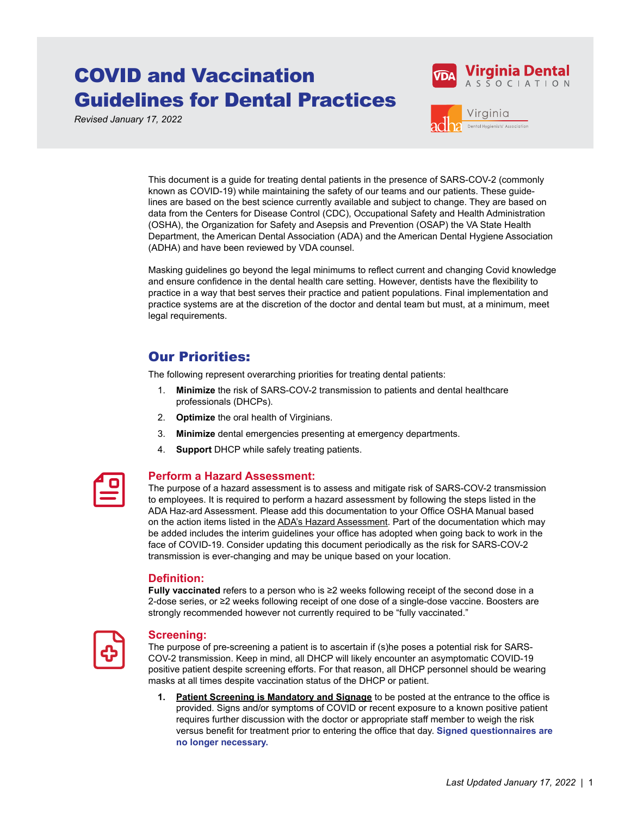# COVID and Vaccination Guidelines for Dental Practices

*Revised January 17, 2022*





This document is a guide for treating dental patients in the presence of SARS-COV-2 (commonly known as COVID-19) while maintaining the safety of our teams and our patients. These guidelines are based on the best science currently available and subject to change. They are based on data from the Centers for Disease Control (CDC), Occupational Safety and Health Administration (OSHA), the Organization for Safety and Asepsis and Prevention (OSAP) the VA State Health Department, the American Dental Association (ADA) and the American Dental Hygiene Association (ADHA) and have been reviewed by VDA counsel.

Masking guidelines go beyond the legal minimums to reflect current and changing Covid knowledge and ensure confidence in the dental health care setting. However, dentists have the flexibility to practice in a way that best serves their practice and patient populations. Final implementation and practice systems are at the discretion of the doctor and dental team but must, at a minimum, meet legal requirements.

## Our Priorities:

The following represent overarching priorities for treating dental patients:

- 1. **Minimize** the risk of SARS-COV-2 transmission to patients and dental healthcare professionals (DHCPs).
- 2. **Optimize** the oral health of Virginians.
- 3. **Minimize** dental emergencies presenting at emergency departments.
- 4. **Support** DHCP while safely treating patients.

| and the state of the state of the state of the state of the state of the state of the state of the state of th<br>$\mathcal{L}(\mathcal{L})$ and $\mathcal{L}(\mathcal{L})$ and $\mathcal{L}(\mathcal{L})$ |
|------------------------------------------------------------------------------------------------------------------------------------------------------------------------------------------------------------|
| <b>Contract Contract Contract Contract Contract Contract Contract Contract Contract Contract Contract Contract C</b>                                                                                       |

#### **Perform a Hazard Assessment:**

The purpose of a hazard assessment is to assess and mitigate risk of SARS-COV-2 transmission to employees. It is required to perform a hazard assessment by following the steps listed in the ADA Haz-ard Assessment. Please add this documentation to your Office OSHA Manual based on the action items listed in the [ADA's Hazard Assessment](https://ebusiness.ada.org/login/login.aspx?cpssource=http%3a%2f%2fwww.ada.org%2fsso-login%3freturnUrl%3d%2f%7e%2fmedia%2fADA%2fMember%2520Center%2fMembers%2fHazard_Assessment%2fADA_COVID-19_Hazard_Assessment.pdf). Part of the documentation which may be added includes the interim guidelines your office has adopted when going back to work in the face of COVID-19. Consider updating this document periodically as the risk for SARS-COV-2 transmission is ever-changing and may be unique based on your location.

#### **Definition:**

**Fully vaccinated** refers to a person who is ≥2 weeks following receipt of the second dose in a 2-dose series, or ≥2 weeks following receipt of one dose of a single-dose vaccine. Boosters are strongly recommended however not currently required to be "fully vaccinated."



#### **Screening:**

The purpose of pre-screening a patient is to ascertain if (s)he poses a potential risk for SARS-COV-2 transmission. Keep in mind, all DHCP will likely encounter an asymptomatic COVID-19 positive patient despite screening efforts. For that reason, all DHCP personnel should be wearing masks at all times despite vaccination status of the DHCP or patient.

**1. [Patient Screening is Mandatory and Signage](https://sitefinity.ada.org/docs/librariesprovider51/resources/btw-poster.pdf?sfvrsn=880af98a_2)** to be posted at the entrance to the office is provided. Signs and/or symptoms of COVID or recent exposure to a known positive patient requires further discussion with the doctor or appropriate staff member to weigh the risk versus benefit for treatment prior to entering the office that day. **Signed questionnaires are no longer necessary.**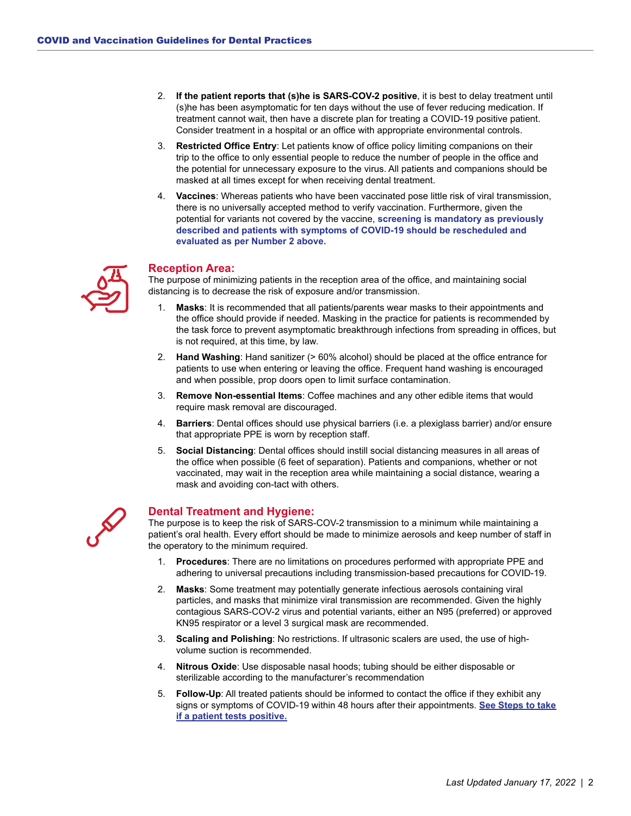- 2. **If the patient reports that (s)he is SARS-COV-2 positive**, it is best to delay treatment until (s)he has been asymptomatic for ten days without the use of fever reducing medication. If treatment cannot wait, then have a discrete plan for treating a COVID-19 positive patient. Consider treatment in a hospital or an office with appropriate environmental controls.
- 3. **Restricted Office Entry**: Let patients know of office policy limiting companions on their trip to the office to only essential people to reduce the number of people in the office and the potential for unnecessary exposure to the virus. All patients and companions should be masked at all times except for when receiving dental treatment.
- 4. **Vaccines**: Whereas patients who have been vaccinated pose little risk of viral transmission, there is no universally accepted method to verify vaccination. Furthermore, given the potential for variants not covered by the vaccine, **screening is mandatory as previously described and patients with symptoms of COVID-19 should be rescheduled and evaluated as per Number 2 above.**



#### **Reception Area:**

The purpose of minimizing patients in the reception area of the office, and maintaining social distancing is to decrease the risk of exposure and/or transmission.

- 1. **Masks**: It is recommended that all patients/parents wear masks to their appointments and the office should provide if needed. Masking in the practice for patients is recommended by the task force to prevent asymptomatic breakthrough infections from spreading in offices, but is not required, at this time, by law.
- 2. **Hand Washing**: Hand sanitizer (> 60% alcohol) should be placed at the office entrance for patients to use when entering or leaving the office. Frequent hand washing is encouraged and when possible, prop doors open to limit surface contamination.
- 3. **Remove Non-essential Items**: Coffee machines and any other edible items that would require mask removal are discouraged.
- 4. **Barriers**: Dental offices should use physical barriers (i.e. a plexiglass barrier) and/or ensure that appropriate PPE is worn by reception staff.
- 5. **Social Distancing**: Dental offices should instill social distancing measures in all areas of the office when possible (6 feet of separation). Patients and companions, whether or not vaccinated, may wait in the reception area while maintaining a social distance, wearing a mask and avoiding con-tact with others.



#### **Dental Treatment and Hygiene:**

The purpose is to keep the risk of SARS-COV-2 transmission to a minimum while maintaining a patient's oral health. Every effort should be made to minimize aerosols and keep number of staff in the operatory to the minimum required.

- 1. **Procedures**: There are no limitations on procedures performed with appropriate PPE and adhering to universal precautions including transmission-based precautions for COVID-19.
- 2. **Masks**: Some treatment may potentially generate infectious aerosols containing viral particles, and masks that minimize viral transmission are recommended. Given the highly contagious SARS-COV-2 virus and potential variants, either an N95 (preferred) or approved KN95 respirator or a level 3 surgical mask are recommended.
- 3. **Scaling and Polishing**: No restrictions. If ultrasonic scalers are used, the use of highvolume suction is recommended.
- 4. **Nitrous Oxide**: Use disposable nasal hoods; tubing should be either disposable or sterilizable according to the manufacturer's recommendation
- 5. **Follow-Up**: All treated patients should be informed to contact the office if they exhibit any signs or symptoms of COVID-19 within 48 hours after their appointments. **[See Steps to take](https://www.ada.org/resources/practice?utm_source=cpsorg&utm_medium=covid-main-lp&utm_content=cv-whenapatienttestspositiveforcv&utm_campaign=covid-19)  [if a patient tests positive.](https://www.ada.org/resources/practice?utm_source=cpsorg&utm_medium=covid-main-lp&utm_content=cv-whenapatienttestspositiveforcv&utm_campaign=covid-19)**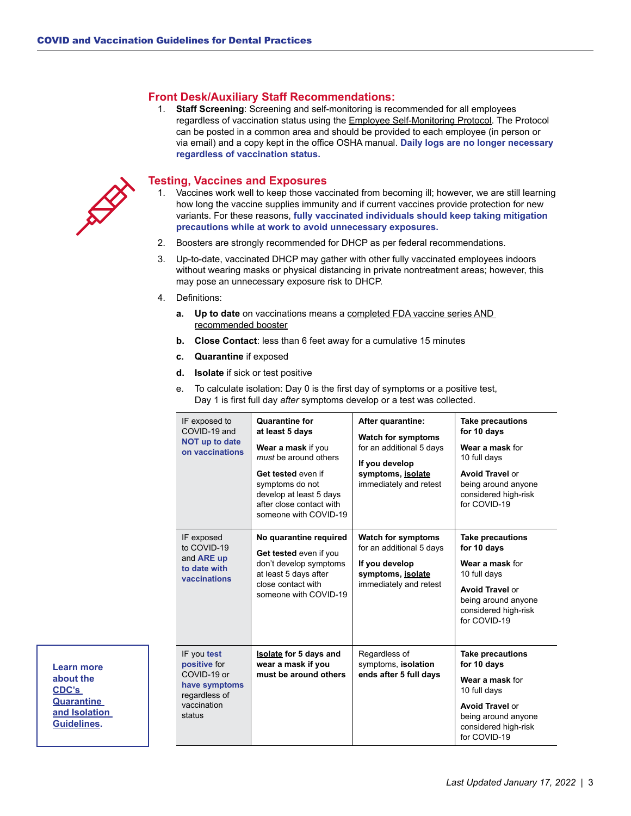#### **Front Desk/Auxiliary Staff Recommendations:**

1. **Staff Screening**: Screening and self-monitoring is recommended for all employees regardless of vaccination status using the [Employee Self-Monitoring Protocol](https://sitefinity.ada.org/docs/librariesprovider51/resources/self-monitoring.pdf?sfvrsn=83c7f98a_2). The Protocol can be posted in a common area and should be provided to each employee (in person or via email) and a copy kept in the office OSHA manual. **Daily logs are no longer necessary regardless of vaccination status.**



**Learn more about the [CDC's](https://www.cdc.gov/coronavirus/2019-ncov/your-health/quarantine-isolation.html)  [Quarantine](https://www.cdc.gov/coronavirus/2019-ncov/your-health/quarantine-isolation.html)  [and Isolation](https://www.cdc.gov/coronavirus/2019-ncov/your-health/quarantine-isolation.html)  [Guidelines](https://www.cdc.gov/coronavirus/2019-ncov/your-health/quarantine-isolation.html).**

#### **Testing, Vaccines and Exposures**

- 1. Vaccines work well to keep those vaccinated from becoming ill; however, we are still learning how long the vaccine supplies immunity and if current vaccines provide protection for new variants. For these reasons, **fully vaccinated individuals should keep taking mitigation precautions while at work to avoid unnecessary exposures.**
- 2. Boosters are strongly recommended for DHCP as per federal recommendations.
- 3. Up-to-date, vaccinated DHCP may gather with other fully vaccinated employees indoors without wearing masks or physical distancing in private nontreatment areas; however, this may pose an unnecessary exposure risk to DHCP.
- 4. Definitions:
	- **a. Up to date** on vaccinations means a [completed FDA vaccine series AND](https://www.cdc.gov/coronavirus/2019-ncov/vaccines/stay-up-to-date.html)  [recommended booster](https://www.cdc.gov/coronavirus/2019-ncov/vaccines/stay-up-to-date.html)
	- **b. Close Contact**: less than 6 feet away for a cumulative 15 minutes
	- **c. Quarantine** if exposed
	- **d. Isolate** if sick or test positive

| IF exposed to<br>COVID-19 and<br><b>NOT up to date</b><br>on vaccinations                             | <b>Quarantine for</b><br>at least 5 days<br>Wear a mask if you<br>must be around others<br>Get tested even if<br>symptoms do not<br>develop at least 5 days<br>after close contact with<br>someone with COVID-19 | After quarantine:<br><b>Watch for symptoms</b><br>for an additional 5 days<br>If you develop<br>symptoms, isolate<br>immediately and retest | <b>Take precautions</b><br>for 10 days<br>Wear a mask for<br>10 full days<br><b>Avoid Travel or</b><br>being around anyone<br>considered high-risk<br>for COVID-19 |
|-------------------------------------------------------------------------------------------------------|------------------------------------------------------------------------------------------------------------------------------------------------------------------------------------------------------------------|---------------------------------------------------------------------------------------------------------------------------------------------|--------------------------------------------------------------------------------------------------------------------------------------------------------------------|
| IF exposed<br>to COVID-19<br>and ARE up<br>to date with<br>vaccinations                               | No quarantine required<br>Get tested even if you<br>don't develop symptoms<br>at least 5 days after<br>close contact with<br>someone with COVID-19                                                               | <b>Watch for symptoms</b><br>for an additional 5 days<br>If you develop<br>symptoms, isolate<br>immediately and retest                      | <b>Take precautions</b><br>for 10 days<br>Wear a mask for<br>10 full days<br><b>Avoid Travel or</b><br>being around anyone<br>considered high-risk<br>for COVID-19 |
| IF you test<br>positive for<br>COVID-19 or<br>have symptoms<br>regardless of<br>vaccination<br>status | <b>Isolate for 5 days and</b><br>wear a mask if you<br>must be around others                                                                                                                                     | Regardless of<br>symptoms, isolation<br>ends after 5 full days                                                                              | <b>Take precautions</b><br>for 10 days<br>Wear a mask for<br>10 full days<br><b>Avoid Travel or</b><br>being around anyone<br>considered high-risk<br>for COVID-19 |

e. To calculate isolation: Day 0 is the first day of symptoms or a positive test, Day 1 is first full day *after* symptoms develop or a test was collected.